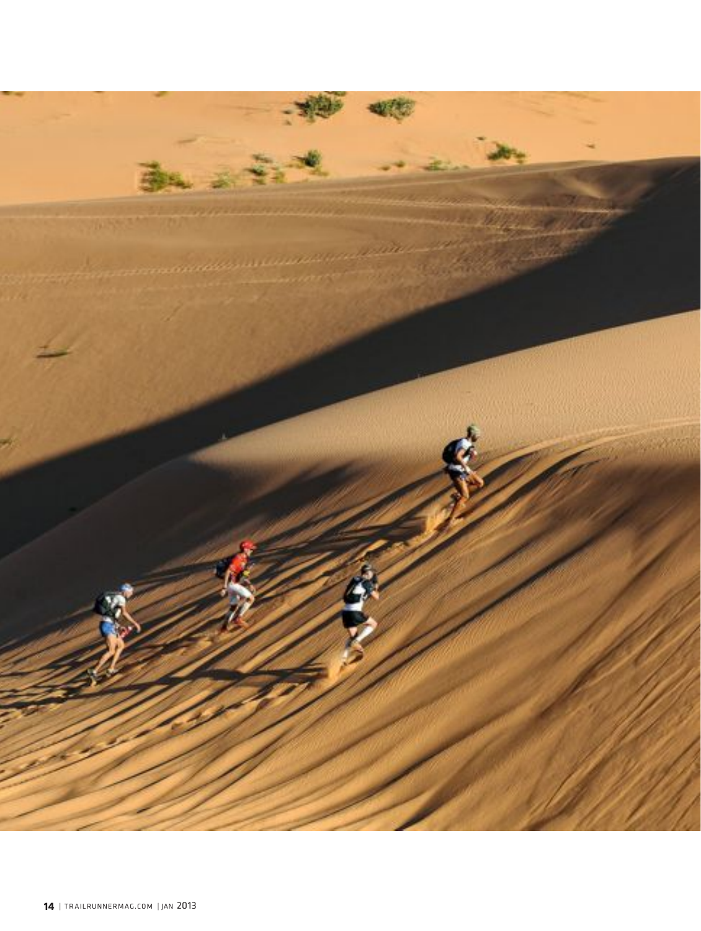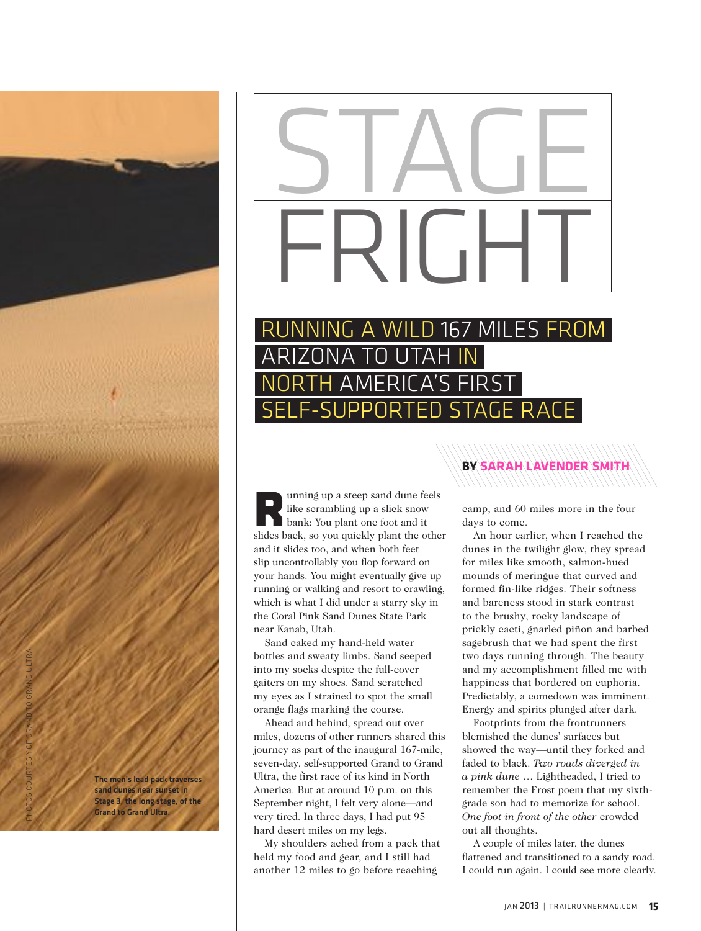

Grand to Grand Ultra.



### RUNNING A WILD 167 MILES FROM ARIZONA TO UTAH IN NORTH AMERICA'S FIRST SELF-SUPPORTED STAGE RACE

unning up a steep sand dune feels like scrambling up a slick snow bank: You plant one foot and it slides back, so you quickly plant the other and it slides too, and when both feet slip uncontrollably you flop forward on your hands. You might eventually give up running or walking and resort to crawling, which is what I did under a starry sky in the Coral Pink Sand Dunes State Park near Kanab, Utah.

Sand caked my hand-held water bottles and sweaty limbs. Sand seeped into my socks despite the full-cover gaiters on my shoes. Sand scratched my eyes as I strained to spot the small orange flags marking the course.

Ahead and behind, spread out over miles, dozens of other runners shared this journey as part of the inaugural 167-mile, seven-day, self-supported Grand to Grand Ultra, the first race of its kind in North America. But at around 10 p.m. on this September night, I felt very alone—and very tired. In three days, I had put 95 hard desert miles on my legs.

My shoulders ached from a pack that held my food and gear, and I still had another 12 miles to go before reaching

camp, and 60 miles more in the four days to come.

**BY SARAH LAVENDER SMITH**

An hour earlier, when I reached the dunes in the twilight glow, they spread for miles like smooth, salmon-hued mounds of meringue that curved and formed fin-like ridges. Their softness and bareness stood in stark contrast to the brushy, rocky landscape of prickly cacti, gnarled piñon and barbed sagebrush that we had spent the first two days running through. The beauty and my accomplishment filled me with happiness that bordered on euphoria. Predictably, a comedown was imminent. Energy and spirits plunged after dark.

Footprints from the frontrunners blemished the dunes' surfaces but showed the way—until they forked and faded to black. Two roads diverged in a pink dune … Lightheaded, I tried to remember the Frost poem that my sixthgrade son had to memorize for school. One foot in front of the other crowded out all thoughts.

A couple of miles later, the dunes flattened and transitioned to a sandy road. I could run again. I could see more clearly.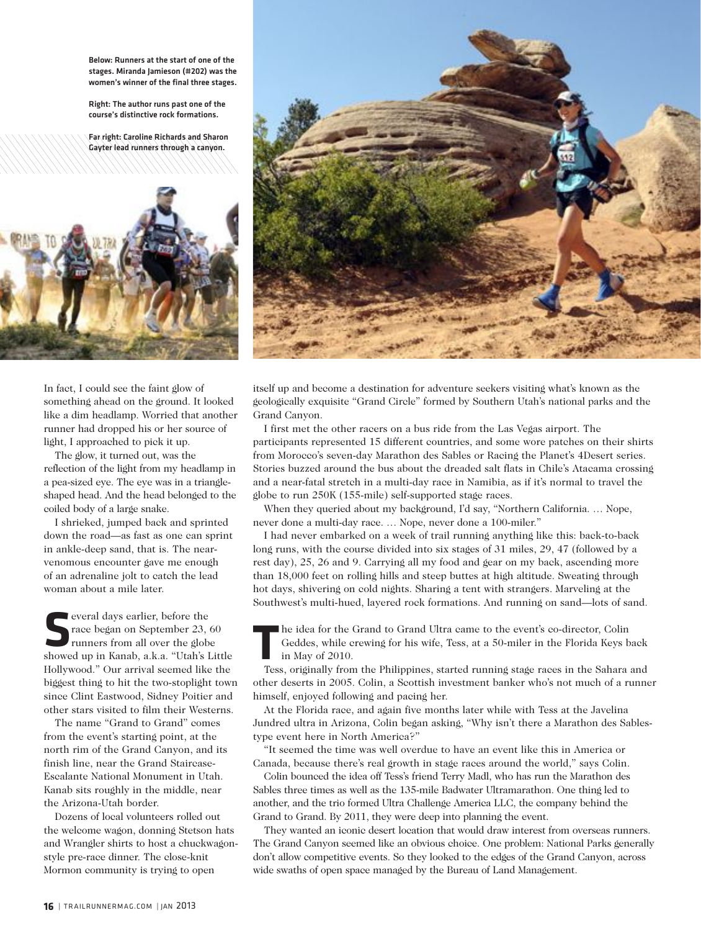Below: Runners at the start of one of the stages. Miranda Jamieson (#202) was the women's winner of the final three stages.

Right: The author runs past one of the course's distinctive rock formations.

Far right: Caroline Richards and Sharon Gayter lead runners through a canyon.



In fact, I could see the faint glow of something ahead on the ground. It looked like a dim headlamp. Worried that another runner had dropped his or her source of light, I approached to pick it up.

The glow, it turned out, was the reflection of the light from my headlamp in a pea-sized eye. The eye was in a triangleshaped head. And the head belonged to the coiled body of a large snake.

I shrieked, jumped back and sprinted down the road—as fast as one can sprint in ankle-deep sand, that is. The nearvenomous encounter gave me enough of an adrenaline jolt to catch the lead woman about a mile later.

Several days earlier, before the<br>race began on September 23,<br>runners from all over the globs<br>showed up in Kanab, a k a "Htab's I race began on September 23, 60 runners from all over the globe showed up in Kanab, a.k.a. "Utah's Little Hollywood." Our arrival seemed like the biggest thing to hit the two-stoplight town since Clint Eastwood, Sidney Poitier and other stars visited to film their Westerns.

The name "Grand to Grand" comes from the event's starting point, at the north rim of the Grand Canyon, and its finish line, near the Grand Staircase-Escalante National Monument in Utah. Kanab sits roughly in the middle, near the Arizona-Utah border.

Dozens of local volunteers rolled out the welcome wagon, donning Stetson hats and Wrangler shirts to host a chuckwagonstyle pre-race dinner. The close-knit Mormon community is trying to open



itself up and become a destination for adventure seekers visiting what's known as the geologically exquisite "Grand Circle" formed by Southern Utah's national parks and the Grand Canyon.

I first met the other racers on a bus ride from the Las Vegas airport. The participants represented 15 different countries, and some wore patches on their shirts from Morocco's seven-day Marathon des Sables or Racing the Planet's 4Desert series. Stories buzzed around the bus about the dreaded salt flats in Chile's Atacama crossing and a near-fatal stretch in a multi-day race in Namibia, as if it's normal to travel the globe to run 250K (155-mile) self-supported stage races.

When they queried about my background, I'd say, "Northern California. … Nope, never done a multi-day race. … Nope, never done a 100-miler."

I had never embarked on a week of trail running anything like this: back-to-back long runs, with the course divided into six stages of 31 miles, 29, 47 (followed by a rest day), 25, 26 and 9. Carrying all my food and gear on my back, ascending more than 18,000 feet on rolling hills and steep buttes at high altitude. Sweating through hot days, shivering on cold nights. Sharing a tent with strangers. Marveling at the Southwest's multi-hued, layered rock formations. And running on sand—lots of sand.

The idea for the Grand to Grand Ultra came to the event's co-director, Colin Geddes, while crewing for his wife, Tess, at a 50-miler in the Florida Keys b in May of 2010.<br>Tess, critically from the Philippines, started runn Geddes, while crewing for his wife, Tess, at a 50-miler in the Florida Keys back in May of 2010.

Tess, originally from the Philippines, started running stage races in the Sahara and other deserts in 2005. Colin, a Scottish investment banker who's not much of a runner himself, enjoyed following and pacing her.

At the Florida race, and again five months later while with Tess at the Javelina Jundred ultra in Arizona, Colin began asking, "Why isn't there a Marathon des Sablestype event here in North America?"

"It seemed the time was well overdue to have an event like this in America or Canada, because there's real growth in stage races around the world," says Colin.

Colin bounced the idea off Tess's friend Terry Madl, who has run the Marathon des Sables three times as well as the 135-mile Badwater Ultramarathon. One thing led to another, and the trio formed Ultra Challenge America LLC, the company behind the Grand to Grand. By 2011, they were deep into planning the event.

They wanted an iconic desert location that would draw interest from overseas runners. The Grand Canyon seemed like an obvious choice. One problem: National Parks generally don't allow competitive events. So they looked to the edges of the Grand Canyon, across wide swaths of open space managed by the Bureau of Land Management.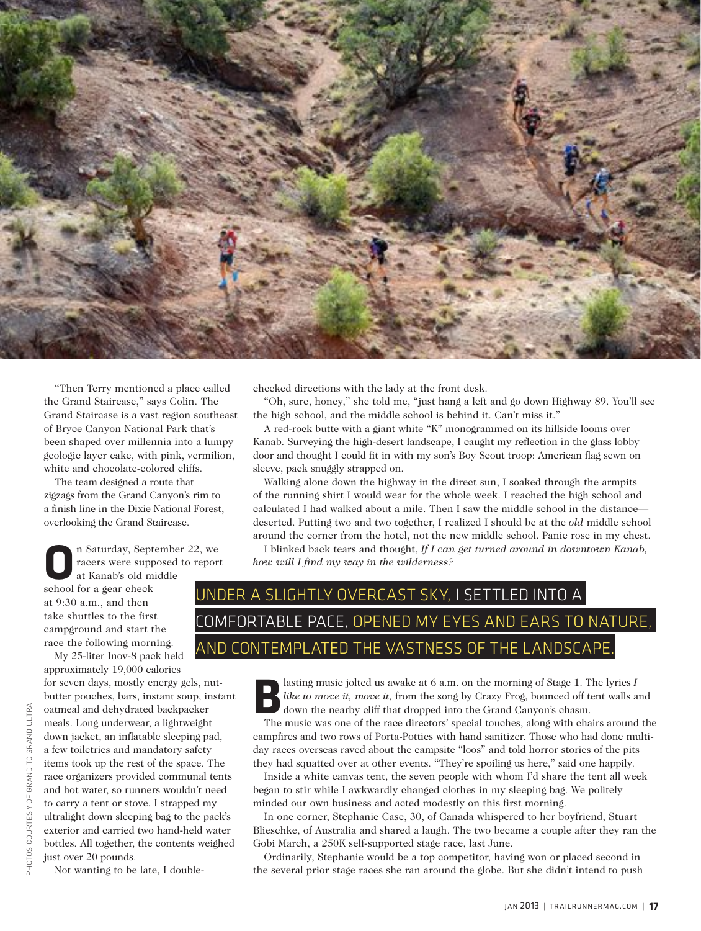

"Then Terry mentioned a place called the Grand Staircase," says Colin. The Grand Staircase is a vast region southeast of Bryce Canyon National Park that's been shaped over millennia into a lumpy geologic layer cake, with pink, vermilion, white and chocolate-colored cliffs.

The team designed a route that zigzags from the Grand Canyon's rim to a finish line in the Dixie National Forest, overlooking the Grand Staircase.

In Saturday, September 22, we racers were supposed to report<br>at Kanab's old middle racers were supposed to report at Kanab's old middle

school for a gear check at 9:30 a.m., and then take shuttles to the first campground and start the race the following morning.

My 25-liter Inov-8 pack held approximately 19,000 calories

for seven days, mostly energy gels, nutbutter pouches, bars, instant soup, instant oatmeal and dehydrated backpacker meals. Long underwear, a lightweight down jacket, an inflatable sleeping pad, a few toiletries and mandatory safety items took up the rest of the space. The race organizers provided communal tents and hot water, so runners wouldn't need to carry a tent or stove. I strapped my ultralight down sleeping bag to the pack's exterior and carried two hand-held water bottles. All together, the contents weighed just over 20 pounds.

Not wanting to be late, I double-

checked directions with the lady at the front desk.

"Oh, sure, honey," she told me, "just hang a left and go down Highway 89. You'll see the high school, and the middle school is behind it. Can't miss it."

A red-rock butte with a giant white "K" monogrammed on its hillside looms over Kanab. Surveying the high-desert landscape, I caught my reflection in the glass lobby door and thought I could fit in with my son's Boy Scout troop: American flag sewn on sleeve, pack snuggly strapped on.

Walking alone down the highway in the direct sun, I soaked through the armpits of the running shirt I would wear for the whole week. I reached the high school and calculated I had walked about a mile. Then I saw the middle school in the distance deserted. Putting two and two together, I realized I should be at the old middle school around the corner from the hotel, not the new middle school. Panic rose in my chest.

I blinked back tears and thought, If I can get turned around in downtown Kanab, how will I find my way in the wilderness?

### UNDER A SLIGHTLY OVERCAST SKY, I SETTLED INTO A COMFORTABLE PACE, OPENED MY EYES AND EARS TO NATURE, AND CONTEMPLATED THE VASTNESS OF THE LANDSCAPE.

**Blasting music jolted us awake at 6 a.m. on the morning of Stage 1. The lyrics I<br>like to move it, move it, from the song by Crazy Frog, bounced off tent walls at<br>down the nearby cliff that dropped into the Grand Canyon's** like to move it, move it, from the song by Crazy Frog, bounced off tent walls and down the nearby cliff that dropped into the Grand Canyon's chasm.

The music was one of the race directors' special touches, along with chairs around the campfires and two rows of Porta-Potties with hand sanitizer. Those who had done multiday races overseas raved about the campsite "loos" and told horror stories of the pits they had squatted over at other events. "They're spoiling us here," said one happily.

Inside a white canvas tent, the seven people with whom I'd share the tent all week began to stir while I awkwardly changed clothes in my sleeping bag. We politely minded our own business and acted modestly on this first morning.

In one corner, Stephanie Case, 30, of Canada whispered to her boyfriend, Stuart Blieschke, of Australia and shared a laugh. The two became a couple after they ran the Gobi March, a 250K self-supported stage race, last June.

Ordinarily, Stephanie would be a top competitor, having won or placed second in the several prior stage races she ran around the globe. But she didn't intend to push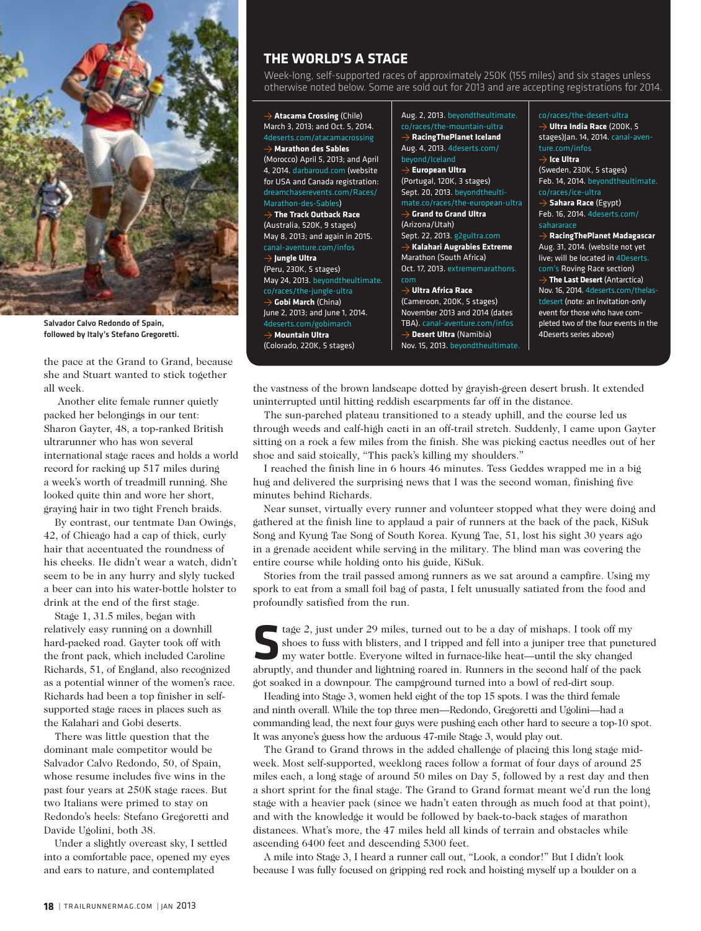

Salvador Calvo Redondo of Spain, followed by Italy's Stefano Gregoretti.

the pace at the Grand to Grand, because she and Stuart wanted to stick together all week.

 Another elite female runner quietly packed her belongings in our tent: Sharon Gayter, 48, a top-ranked British ultrarunner who has won several international stage races and holds a world record for racking up 517 miles during a week's worth of treadmill running. She looked quite thin and wore her short, graying hair in two tight French braids.

By contrast, our tentmate Dan Owings, 42, of Chicago had a cap of thick, curly hair that accentuated the roundness of his cheeks. He didn't wear a watch, didn't seem to be in any hurry and slyly tucked a beer can into his water-bottle holster to drink at the end of the first stage.

Stage 1, 31.5 miles, began with relatively easy running on a downhill hard-packed road. Gayter took off with the front pack, which included Caroline Richards, 51, of England, also recognized as a potential winner of the women's race. Richards had been a top finisher in selfsupported stage races in places such as the Kalahari and Gobi deserts.

There was little question that the dominant male competitor would be Salvador Calvo Redondo, 50, of Spain, whose resume includes five wins in the past four years at 250K stage races. But two Italians were primed to stay on Redondo's heels: Stefano Gregoretti and Davide Ugolini, both 38.

Under a slightly overcast sky, I settled into a comfortable pace, opened my eyes and ears to nature, and contemplated

### **THE WORLD'S A STAGE**

Week-long, self-supported races of approximately 250K (155 miles) and six stages unless otherwise noted below. Some are sold out for 2013 and are accepting registrations for 2014.

> **Atacama Crossing** (Chile) March 3, 2013; and Oct. 5, 2014. 4deserts.com/atacamacrossing > **Marathon des Sables** (Morocco) April 5, 2013; and April 4, 2014. darbaroud.com (website for USA and Canada registration: dreamchaserevents.com/Races/ Marathon-des-Sables) > **The Track Outback Race** (Australia, 520K, 9 stages) May 8, 2013; and again in 2015. > **Jungle Ultra** (Peru, 230K, 5 stages) May 24, 2013. beyondtheultimate. co/races/the-jungle-ultra > **Gobi March** (China) June 2, 2013; and June 1, 2014. 4deserts.com/gobimarch > **Mountain Ultra** (Colorado, 220K, 5 stages)

Aug. 2, 2013. beyondtheultimate. co/races/the-mountain-ultra > **RacingThePlanet Iceland** Aug. 4, 2013. 4deserts.com/ beyond/Iceland  $\rightarrow$  European Ultra (Portugal, 120K, 3 stages) Sept. 20, 2013. beyondtheultimate.co/races/the-european-ultra  $\rightarrow$  Grand to Grand Ultra (Arizona/Utah) Sept. 22, 2013. g2gultra.com > **Kalahari Augrabies Extreme** Marathon (South Africa) Oct. 17, 2013. extrememarathons. com > **Ultra Africa Race** (Cameroon, 200K, 5 stages) November 2013 and 2014 (dates TBA). canal-aventure.com/infos

> **Desert Ultra** (Namibia) Nov. 15, 2013. beyondtheultimate. co/races/the-desert-ultra > **Ultra India Race** (200K, 5 stages)Jan. 14, 2014. canal-aventure.com/infos  $\rightarrow$  Ice Ultra (Sweden, 230K, 5 stages) Feb. 14, 2014. beyondtheultimate. co/races/ice-ultra > **Sahara Race** (Egypt) Feb. 16, 2014. 4deserts.com/ > **RacingThePlanet Madagascar**

Aug. 31, 2014. (website not yet live; will be located in 4Deserts. com's Roving Race section) > **The Last Desert** (Antarctica) Nov. 16, 2014. 4deserts.com/thelastdesert (note: an invitation-only event for those who have completed two of the four events in the 4Deserts series above)

the vastness of the brown landscape dotted by grayish-green desert brush. It extended uninterrupted until hitting reddish escarpments far off in the distance.

The sun-parched plateau transitioned to a steady uphill, and the course led us through weeds and calf-high cacti in an off-trail stretch. Suddenly, I came upon Gayter sitting on a rock a few miles from the finish. She was picking cactus needles out of her shoe and said stoically, "This pack's killing my shoulders."

I reached the finish line in 6 hours 46 minutes. Tess Geddes wrapped me in a big hug and delivered the surprising news that I was the second woman, finishing five minutes behind Richards.

Near sunset, virtually every runner and volunteer stopped what they were doing and gathered at the finish line to applaud a pair of runners at the back of the pack, KiSuk Song and Kyung Tae Song of South Korea. Kyung Tae, 51, lost his sight 30 years ago in a grenade accident while serving in the military. The blind man was covering the entire course while holding onto his guide, KiSuk.

Stories from the trail passed among runners as we sat around a campfire. Using my spork to eat from a small foil bag of pasta, I felt unusually satiated from the food and profoundly satisfied from the run.

tage 2, just under 29 miles, turned out to be a day of mishaps. I took off my<br>shoes to fuss with blisters, and I tripped and fell into a juniper tree that punct<br>my water bottle. Everyone wilted in furnace-like heat—until t shoes to fuss with blisters, and I tripped and fell into a juniper tree that punctured my water bottle. Everyone wilted in furnace-like heat—until the sky changed abruptly, and thunder and lightning roared in. Runners in the second half of the pack got soaked in a downpour. The campground turned into a bowl of red-dirt soup.

Heading into Stage 3, women held eight of the top 15 spots. I was the third female and ninth overall. While the top three men—Redondo, Gregoretti and Ugolini—had a commanding lead, the next four guys were pushing each other hard to secure a top-10 spot. It was anyone's guess how the arduous 47-mile Stage 3, would play out.

The Grand to Grand throws in the added challenge of placing this long stage midweek. Most self-supported, weeklong races follow a format of four days of around 25 miles each, a long stage of around 50 miles on Day 5, followed by a rest day and then a short sprint for the final stage. The Grand to Grand format meant we'd run the long stage with a heavier pack (since we hadn't eaten through as much food at that point), and with the knowledge it would be followed by back-to-back stages of marathon distances. What's more, the 47 miles held all kinds of terrain and obstacles while ascending 6400 feet and descending 5300 feet.

A mile into Stage 3, I heard a runner call out, "Look, a condor!" But I didn't look because I was fully focused on gripping red rock and hoisting myself up a boulder on a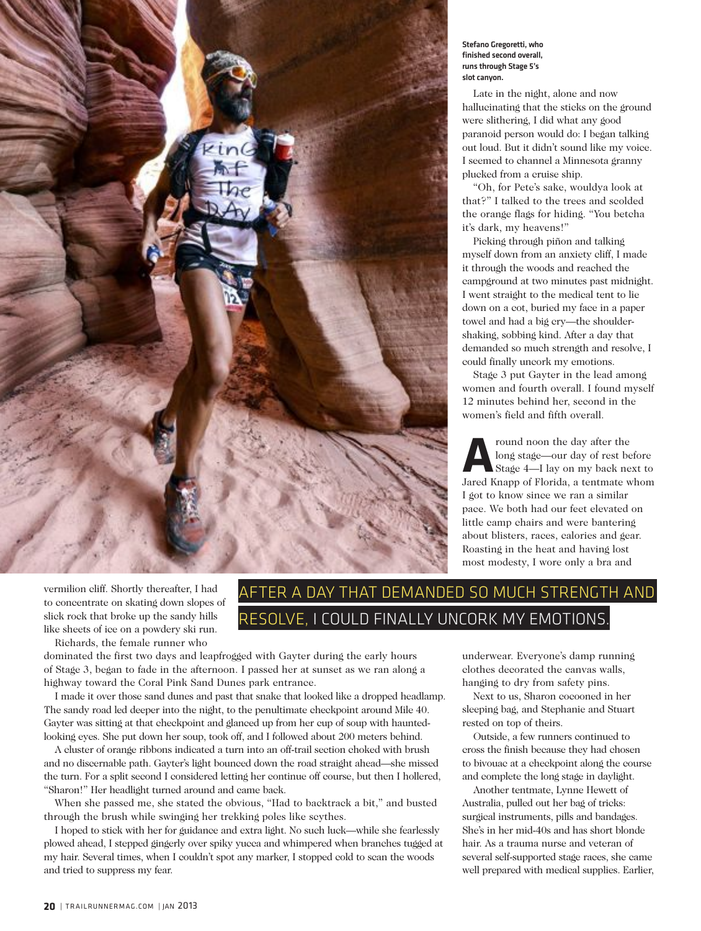

#### Stefano Gregoretti, who finished second overall, runs through Stage 5's slot canyon.

Late in the night, alone and now hallucinating that the sticks on the ground were slithering, I did what any good paranoid person would do: I began talking out loud. But it didn't sound like my voice. I seemed to channel a Minnesota granny plucked from a cruise ship.

"Oh, for Pete's sake, wouldya look at that?" I talked to the trees and scolded the orange flags for hiding. "You betcha it's dark, my heavens!"

Picking through piñon and talking myself down from an anxiety cliff, I made it through the woods and reached the campground at two minutes past midnight. I went straight to the medical tent to lie down on a cot, buried my face in a paper towel and had a big cry—the shouldershaking, sobbing kind. After a day that demanded so much strength and resolve, I could finally uncork my emotions.

Stage 3 put Gayter in the lead among women and fourth overall. I found myself 12 minutes behind her, second in the women's field and fifth overall.

**A**round noon the day after the<br>long stage—our day of rest be<br>Stage 4—I lay on my back ne<br>lared Knapp of Florida, a tentmate w long stage—our day of rest before Stage 4—I lay on my back next to Jared Knapp of Florida, a tentmate whom I got to know since we ran a similar pace. We both had our feet elevated on little camp chairs and were bantering about blisters, races, calories and gear. Roasting in the heat and having lost most modesty, I wore only a bra and

vermilion cliff. Shortly thereafter, I had to concentrate on skating down slopes of slick rock that broke up the sandy hills like sheets of ice on a powdery ski run.

Richards, the female runner who

### AFTER A DAY THAT DEMANDED SO MUCH STRENGTH AND RESOLVE, I COULD FINALLY UNCORK MY EMOTIONS.

dominated the first two days and leapfrogged with Gayter during the early hours of Stage 3, began to fade in the afternoon. I passed her at sunset as we ran along a highway toward the Coral Pink Sand Dunes park entrance.

I made it over those sand dunes and past that snake that looked like a dropped headlamp. The sandy road led deeper into the night, to the penultimate checkpoint around Mile 40. Gayter was sitting at that checkpoint and glanced up from her cup of soup with hauntedlooking eyes. She put down her soup, took off, and I followed about 200 meters behind.

A cluster of orange ribbons indicated a turn into an off-trail section choked with brush and no discernable path. Gayter's light bounced down the road straight ahead—she missed the turn. For a split second I considered letting her continue off course, but then I hollered, "Sharon!" Her headlight turned around and came back.

When she passed me, she stated the obvious, "Had to backtrack a bit," and busted through the brush while swinging her trekking poles like scythes.

I hoped to stick with her for guidance and extra light. No such luck—while she fearlessly plowed ahead, I stepped gingerly over spiky yucca and whimpered when branches tugged at my hair. Several times, when I couldn't spot any marker, I stopped cold to scan the woods and tried to suppress my fear.

underwear. Everyone's damp running clothes decorated the canvas walls, hanging to dry from safety pins.

Next to us, Sharon cocooned in her sleeping bag, and Stephanie and Stuart rested on top of theirs.

Outside, a few runners continued to cross the finish because they had chosen to bivouac at a checkpoint along the course and complete the long stage in daylight.

Another tentmate, Lynne Hewett of Australia, pulled out her bag of tricks: surgical instruments, pills and bandages. She's in her mid-40s and has short blonde hair. As a trauma nurse and veteran of several self-supported stage races, she came well prepared with medical supplies. Earlier,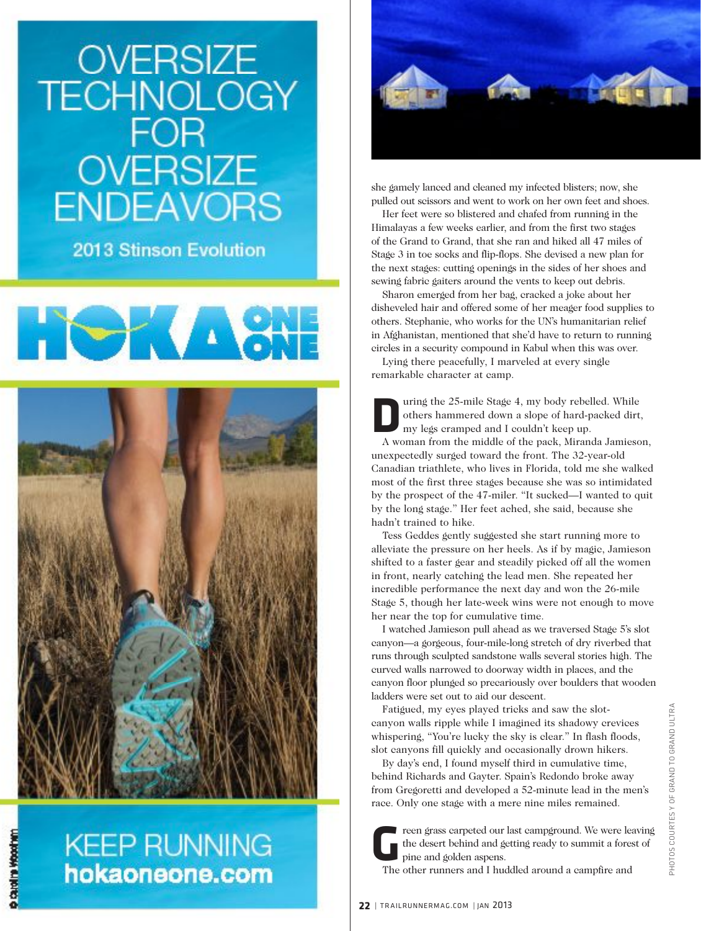## **OVERSIZE TECHNOLOGY FOR OVERSIZE ENDEAVORS**

**2013 Stinson Evolution** 

# **HOKA&N**



## **KEEP RUNNING** hokaoneone.com

**O CARDING WOODS** 



she gamely lanced and cleaned my infected blisters; now, she pulled out scissors and went to work on her own feet and shoes.

Her feet were so blistered and chafed from running in the Himalayas a few weeks earlier, and from the first two stages of the Grand to Grand, that she ran and hiked all 47 miles of Stage 3 in toe socks and flip-flops. She devised a new plan for the next stages: cutting openings in the sides of her shoes and sewing fabric gaiters around the vents to keep out debris.

Sharon emerged from her bag, cracked a joke about her disheveled hair and offered some of her meager food supplies to others. Stephanie, who works for the UN's humanitarian relief in Afghanistan, mentioned that she'd have to return to running circles in a security compound in Kabul when this was over.

Lying there peacefully, I marveled at every single remarkable character at camp.

Using the 25-mile Stage 4, my body rebelled. While<br>others hammered down a slope of hard-packed dirt,<br>my legs cramped and I couldn't keep up.<br>A woman from the middle of the pack Miranda Jamieso others hammered down a slope of hard-packed dirt, my legs cramped and I couldn't keep up.

A woman from the middle of the pack, Miranda Jamieson, unexpectedly surged toward the front. The 32-year-old Canadian triathlete, who lives in Florida, told me she walked most of the first three stages because she was so intimidated by the prospect of the 47-miler. "It sucked—I wanted to quit by the long stage." Her feet ached, she said, because she hadn't trained to hike.

Tess Geddes gently suggested she start running more to alleviate the pressure on her heels. As if by magic, Jamieson shifted to a faster gear and steadily picked off all the women in front, nearly catching the lead men. She repeated her incredible performance the next day and won the 26-mile Stage 5, though her late-week wins were not enough to move her near the top for cumulative time.

I watched Jamieson pull ahead as we traversed Stage 5's slot canyon—a gorgeous, four-mile-long stretch of dry riverbed that runs through sculpted sandstone walls several stories high. The curved walls narrowed to doorway width in places, and the canyon floor plunged so precariously over boulders that wooden ladders were set out to aid our descent.

Fatigued, my eyes played tricks and saw the slotcanyon walls ripple while I imagined its shadowy crevices whispering, "You're lucky the sky is clear." In flash floods, slot canyons fill quickly and occasionally drown hikers.

By day's end, I found myself third in cumulative time, behind Richards and Gayter. Spain's Redondo broke away from Gregoretti and developed a 52-minute lead in the men's race. Only one stage with a mere nine miles remained.

reen grass carpeted our last campground. We were leaving the desert behind and getting ready to summit a forest of pine and golden aspens.

The other runners and I huddled around a campfire and